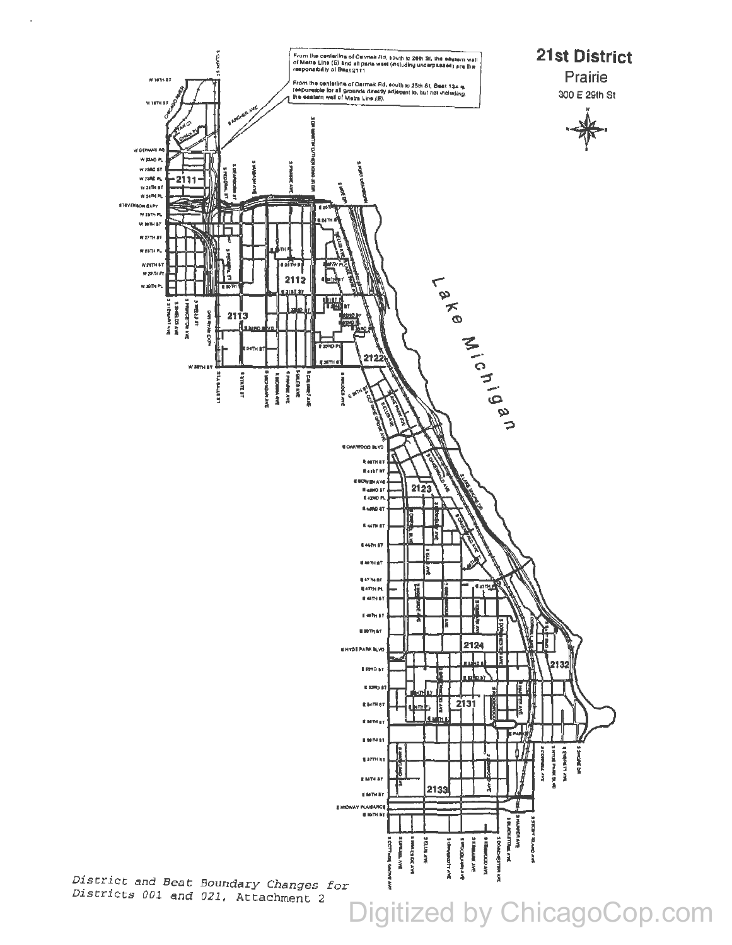

Districts 001 and 021, Attachment 2

l,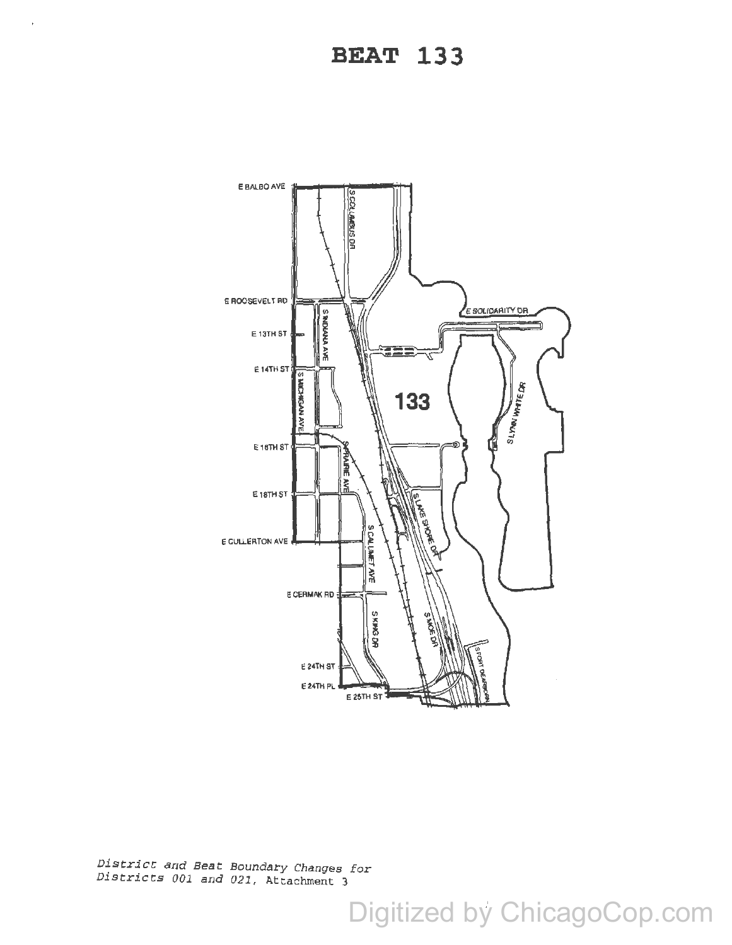

District and Beat Boundary Changes for Districts 001 and 021, Attachment 3

 $\overline{\phantom{a}}$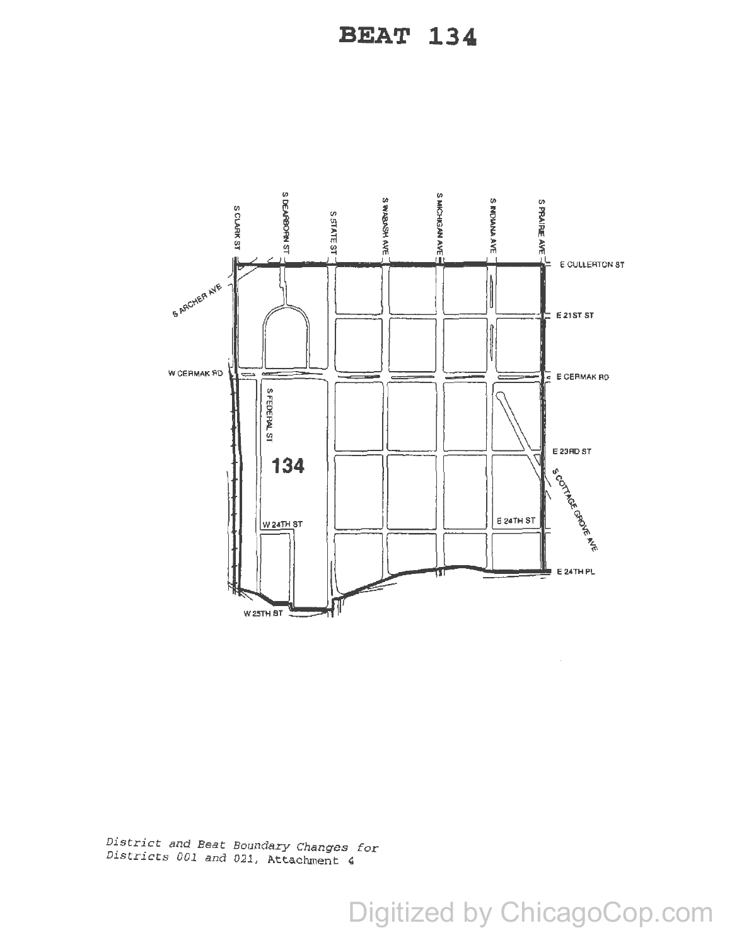

District and Beat Boundary Changes for<br>Districts 001 and 021, Attachment 4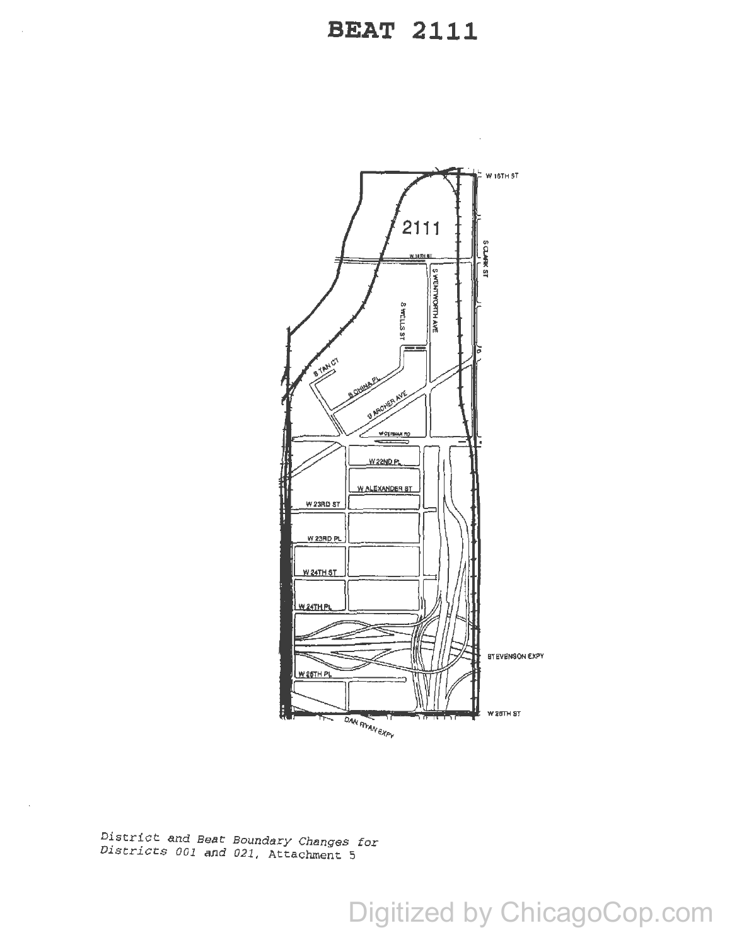

District and Beat Boundary Changes for<br>Districts 001 and 021, Attachment 5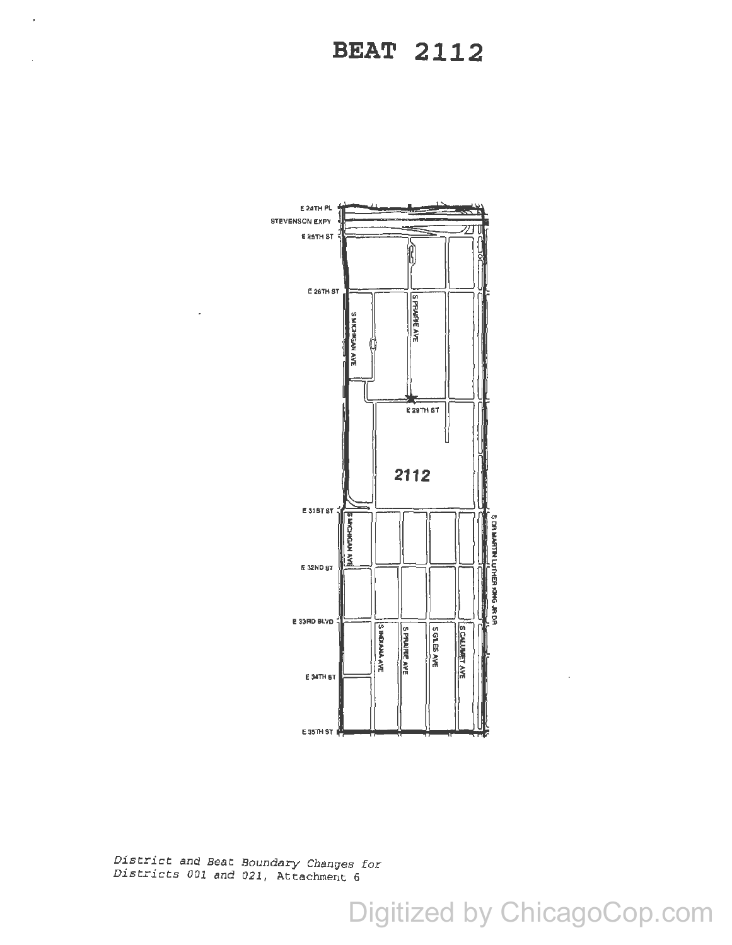l,



*District and Beat Boundary Changes for<br>Districts 001 and 021, Attachment 6*